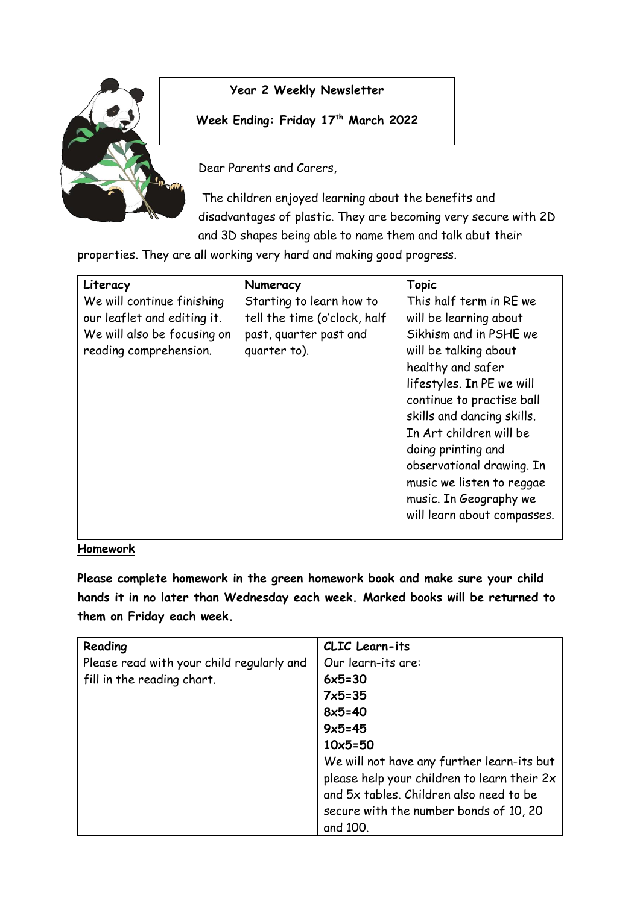

#### **Year 2 Weekly Newsletter**

**Week Ending: Friday 17th March 2022**

Dear Parents and Carers,

The children enjoyed learning about the benefits and disadvantages of plastic. They are becoming very secure with 2D and 3D shapes being able to name them and talk abut their

properties. They are all working very hard and making good progress.

| Literacy                    | Numeracy                     | <b>Topic</b>                |
|-----------------------------|------------------------------|-----------------------------|
| We will continue finishing  | Starting to learn how to     | This half term in RE we     |
| our leaflet and editing it. | tell the time (o'clock, half | will be learning about      |
| We will also be focusing on | past, quarter past and       | Sikhism and in PSHE we      |
| reading comprehension.      | quarter to).                 | will be talking about       |
|                             |                              | healthy and safer           |
|                             |                              | lifestyles. In PE we will   |
|                             |                              | continue to practise ball   |
|                             |                              | skills and dancing skills.  |
|                             |                              | In Art children will be     |
|                             |                              | doing printing and          |
|                             |                              | observational drawing. In   |
|                             |                              | music we listen to reggae   |
|                             |                              | music. In Geography we      |
|                             |                              | will learn about compasses. |
|                             |                              |                             |

#### **Homework**

**Please complete homework in the green homework book and make sure your child hands it in no later than Wednesday each week. Marked books will be returned to them on Friday each week.** 

| Reading                                   | CLIC Learn-its                              |
|-------------------------------------------|---------------------------------------------|
| Please read with your child regularly and | Our learn-its are:                          |
| fill in the reading chart.                | $6x5=30$                                    |
|                                           | $7x5 = 35$                                  |
|                                           | $8x5 = 40$                                  |
|                                           | $9x5 = 45$                                  |
|                                           | $10x5 = 50$                                 |
|                                           | We will not have any further learn-its but  |
|                                           | please help your children to learn their 2x |
|                                           | and 5x tables. Children also need to be     |
|                                           | secure with the number bonds of 10, 20      |
|                                           | and 100.                                    |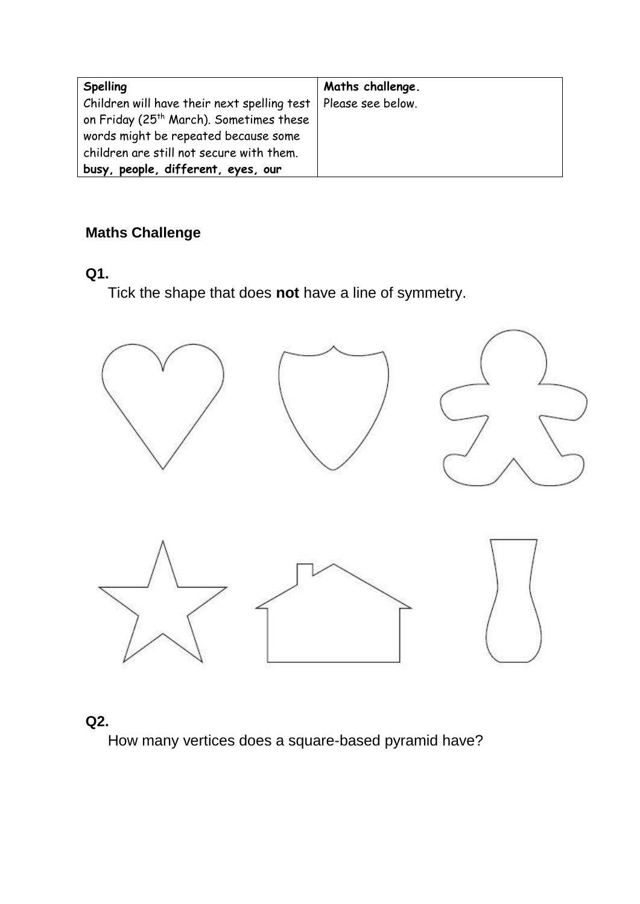| Spelling                                                        | Maths challenge. |
|-----------------------------------------------------------------|------------------|
| Children will have their next spelling test   Please see below. |                  |
| on Friday (25 <sup>th</sup> March). Sometimes these             |                  |
| words might be repeated because some                            |                  |
| children are still not secure with them.                        |                  |
| busy, people, different, eyes, our                              |                  |

## **Maths Challenge**

#### **Q1.**

Tick the shape that does **not** have a line of symmetry.



### **Q2.**

How many vertices does a square-based pyramid have?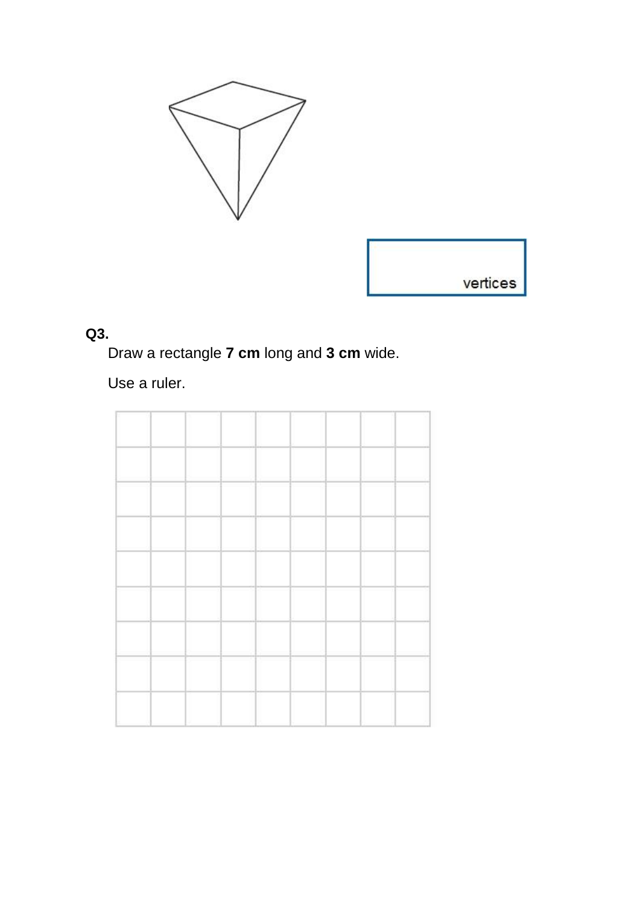



# **Q3.**

Draw a rectangle **7 cm** long and **3 cm** wide.

Use a ruler.

| $\sim$          | $\mathbf{r}$<br>$\overline{\phantom{a}}$ |  |
|-----------------|------------------------------------------|--|
|                 |                                          |  |
|                 |                                          |  |
|                 |                                          |  |
|                 |                                          |  |
|                 |                                          |  |
| $\sim$<br>_____ | $\overline{a}$                           |  |
|                 |                                          |  |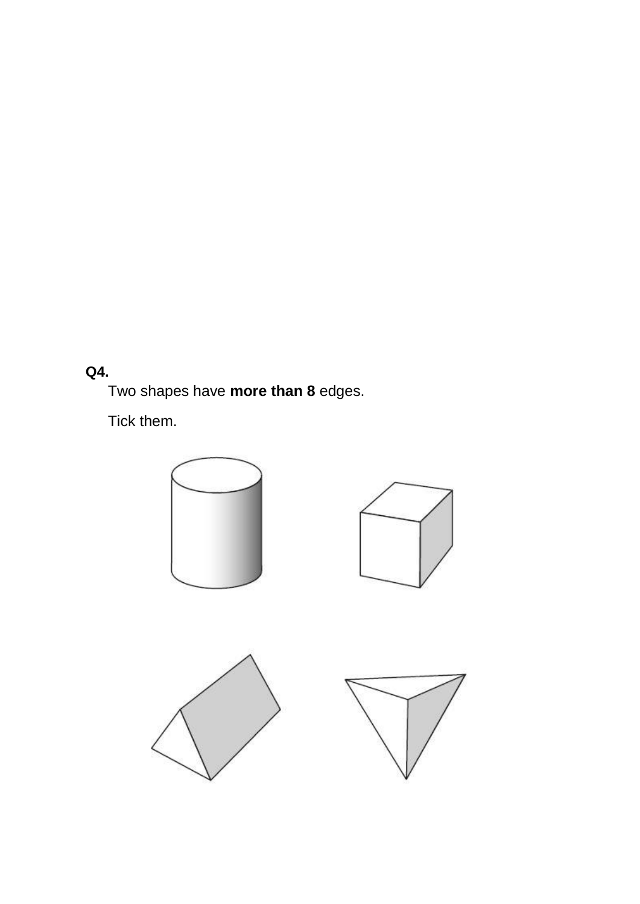## **Q4.**

Two shapes have **more than 8** edges.

Tick them.

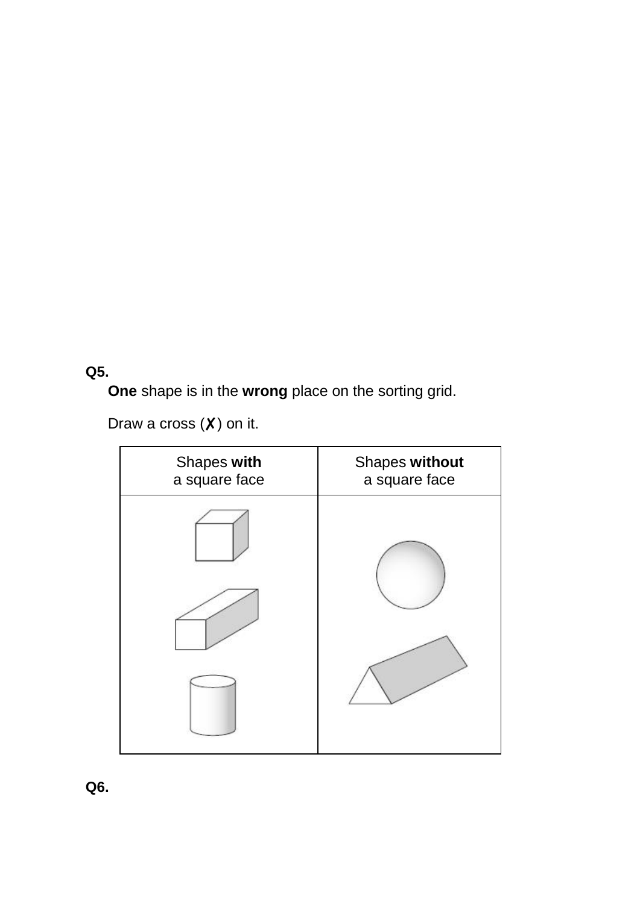### **Q5.**

**One** shape is in the **wrong** place on the sorting grid.

Draw a cross  $(X)$  on it.



**Q6.**